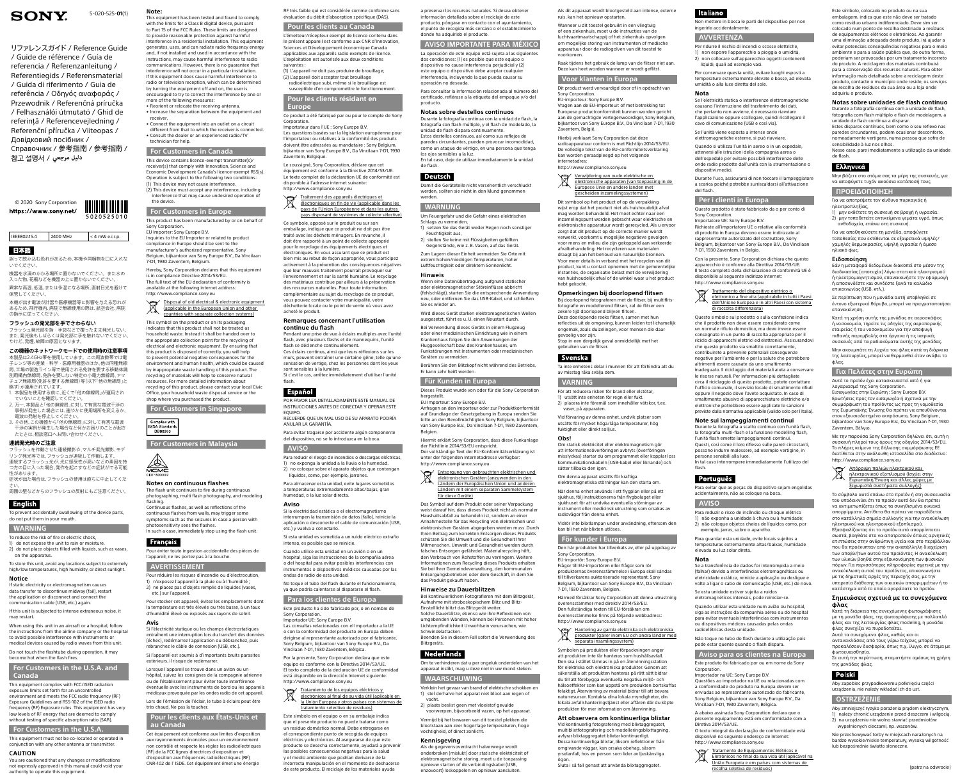**Note:** This equipment has been tested and found to comply with the limits for a Class B digital device, pursuant to Part 15 of the FCC Rules. These limits are designed to provide reasonable protection against harmful interference in a residential installation. This equipment generates, uses, and can radiate radio frequency energy and, if not installed and used in accordance with the instructions, may cause harmful interference to radio communications. However, there is no guarantee that interference will not occur in a particular installation.

If this equipment does cause harmful interference to radio or television reception, which can be determined

by turning the equipment off and on, the user is encouraged to try to correct the interference by one or more of the following measures: • Reorient or relocate the receiving antenna.

• Increase the separation between the equipment and receiver.

is in compliance Directive 2014/53/EU. The full text of the EU declaration of conformity is available at the following internet address: <http://www.compliance.sony.eu> Disposal of old electrical & electronic equipment

• Connect the equipment into an outlet on a circuit different from that to which the receiver is connected. • Consult the dealer or an experienced radio/TV technician for help.

### **For Customers in Canada**

This device contains licence-exempt transmitter(s)/ receiver(s) that comply with Innovation, Science and Economic Development Canada's licence-exempt RSS(s). Operation is subject to the following two conditions: (1) This device may not cause interference.

(2) This device must accept any interference, including interference that may cause undesired operation of the device.

## **For Customers in Europe**

This product has been manufactured by or on behalf of Sony Corporation.

### EU Importer: Sony Europe B.V. Inquiries to the EU Importer or related to product

Pour éviter toute ingestion accidentelle des pièces de l'appareil, ne les portez pas à la bouche

compliance in Europe should be sent to the manufacturer's authorized representative, Sony Belgium, bijkantoor van Sony Europe B.V., Da Vincilaan 7-D1, 1930 Zaventem, Belgium. Hereby, Sony Corporation declares that this equipment

(applicable in the European Union and other countries with separate collection systems)

This symbol on the product or on its packaging indicates that this product shall not be treated as household waste. Instead it shall be handed over to the appropriate collection point for the recycling of electrical and electronic equipment. By ensuring that this product is disposed of correctly, you will help to prevent potential negative consequences for the environment and human health, which could be caused by inappropriate waste handling of this product. The recycling of materials will help to conserve natural resources. For more detailed information about recycling of this product, please contact your local Civic Office, your household waste disposal service or the shop where you purchased the product.

**Corporation** Importateur dans l'UE : Sony Europe B.V.

Le soussigné, Sony Corporation, déclare que cet équipement est conforme à la Directive 2014/53/UE. Le texte complet de la déclaration UE de conformité est disponible à l'adresse internet suivante: <http://www.compliance.sony.eu>

**For Customers in Singapore**

**For Customers in Malaysia**

Complies with **IMDA** Standard DB00353



**Notes on continuous flashes** The flash unit continues to fire during continuous Traitement des appareils électriques et électroniques en fin de vie (applicable dans les

photographing, multi flash photography, and modeling flashing. Continuous flashes, as well as reflections of the

continuous flashes from walls, may trigger some symptoms such as the seizures in case a person with photosensitivity sees the flashes.

In such a case, immediately stop using the flash unit

## Français

### **AVERTISSEMENT**

Pour réduire les risques d'incendie ou d'électrocution,

1) n'exposez l'appareil à la pluie ou à l'humidité ; 2) ne placez pas d'objets remplis de liquides (vases, etc.) sur l'appareil.

Pour stocker cet appareil, évitez les emplacements dont la température est très élevée ou très basse, à un taux d'humidité élevé ou exposés aux rayons de soleil.

### **Avis**

Si l'électricité statique ou les champs électrostatiques entraînent une interruption lors du transfert des données (échec), redémarrez l'application ou débranchez, puis rebranchez le câble de connexion (USB, etc.).

Si l'appareil est soumis à d'importants bruits parasites extérieurs, il risque de redémarrer.

Lorsque l'appareil se trouve dans un avion ou un hôpital, suivez les consignes de la compagnie aérienne ou de l'établissement pour éviter toute interférence éventuelle avec les instruments de bord ou les appareils

médicaux provoquée par les ondes radio de cet appareil. Lors de l'émission de l'éclair, le tube à éclairs peut être très chaud. Ne pas la toucher.

## **Pour les clients aux États-Unis et au Canada**

Cet équipement est conforme aux limites d'exposition aux rayonnements énoncées pour un environnement non contrôlé et respecte les règles les radioélectriques (RF) de la FCC lignes directrices d'exposition et d'exposition aux fréquences radioélectriques (RF) CNR-102 de l' ISDE. Cet équipement émet une énergie

Tratamiento de los equipos eléctricos y electrónicos al final de su vida útil (aplicable en la Unión Europea y otros países con sistemas de

RF très faible qui est considérée comme conforme sans évaluation du débit d'absorption spécifique (DAS).

**Pour les clients au Canada** L'émetteur/récepteur exempt de licence contenu dans le présent appareil est conforme aux CNR d'Innovation, Sciences et Développement économique Canada applicables aux appareils radio exempts de licence. L'exploitation est autorisée aux deux conditions

suivantes : (1) L'appareil ne doit pas produire de brouillage; (2) L'appareil doit accepter tout brouillage radioélectrique subi, même si le brouillage est

susceptible d'en compromettre le fonctionnement. **Pour les clients résidant en** 

### **Europe** Ce produit a été fabriqué par ou pour le compte de Sony

Les questions basées sur la législation européenne pour l'importateur ou relatives à la conformité des produits doivent être adressées au mandataire : Sony Belgium, bijkantoor van Sony Europe B.V., Da Vincilaan 7-D1, 1930 Zaventem, Belgique.

> Entsorgung von gebrauchten elektrischen und elektronischen Geräten (anzuwenden in den Ländern der Europäischen Union und anderen Ländern mit einem separaten Sammelsystem

Ce symbole, apposé sur le produit ou sur son emballage, indique que ce produit ne doit pas être traité avec les déchets ménagers. En revanche, il doit être rapporté à un point de collecte approprié pour le recyclage des équipements électriques et électroniques. En vous assurant que ce produit est bien mis au rebut de façon appropriée, vous participez activement à la prévention des conséquences négatives que leur mauvais traitement pourrait provoquer sur l'environnement et sur la santé humaine. Le recyclage des matériaux contribue par ailleurs à la préservation des ressources naturelles. Pour toute information complémentaire au sujet du recyclage de ce produit, vous pouvez contacter votre municipalité, votre déchetterie locale ou le point de vente où vous avez

acheté le produit.

### **Remarques concernant l'utilisation continue du flash**

Pendant une prise de vue à éclairs multiples avec l'unité flash, avec plusieurs flashs et de mannequins, l'unité flash se déclenche continuellement. Ces éclairs continus, ainsi que leurs réflexions sur les

murs, peuvent entraîner une certaine gêne, telle qu'une sensation de vertige, chez les personnes dont les yeux sont sensibles à la lumière. Si c'est le cas, arrêtez immédiatement d'utiliser l'unité

## Español

flash.

POR FAVOR LEA DETALLADAMENTE ESTE MANUAL DE INSTRUCCIONES ANTES DE CONECTAR Y OPERAR ESTE EQUIPO. RECUERDE QUE UN MAL USO DE SU APARATO PODRÍA

ANULAR LA GARANTÍA.

Para evitar tragarse por accidente algún componente del dispositivo, no se lo introduzca en la boca.

## **AVISO**

Para reducir el riesgo de incendios o descargas eléctricas, 1) no exponga la unidad a la lluvia o la humedad. 2) no coloque sobre el aparato objetos que contengan

líquidos, como, por ejemplo, jarrones. Para almacenar esta unidad, evite lugares sometidos a temperaturas extremadamente altas/bajas, gran humedad, o la luz solar directa.

Verwijdering van oude elektrische en elektronische apparaten (van toepassing in de Europese Unie en andere landen met gescheiden inzamelingssystemen)

### **Aviso**

Si la electricidad estática o el electromagnetismo interrumpen la transmisión de datos (fallo), reinicie la aplicación o desconecte el cable de comunicación (USB, etc.) y vuelva a conectarlo.

Si esta unidad es sometida a un ruido eléctrico extraño intenso, es posible que se reinicie.

Cuando utilice esta unidad en un avión o en un hospital, siga las instrucciones de la compañía aérea o del hospital para evitar posibles interferencias con instrumentos o dispositivos médicos causadas por las ondas de radio de esta unidad.

No toque el tubo del flash durante el funcionamiento, ya que podría calentarse al dispararse el flash.

pays de l'Union Européenne et dans les autres pays disposant de systèmes de collecte sélective) **WARNUNG** Um Feuergefahr und die Gefahr eines elektrischen Schlags zu vermeiden,

### **Para los clientes de Europa**

Este producto ha sido fabricado por, o en nombre de Sony Corporation.

Importador UE: Sony Europe B.V.

Las consultas relacionadas con el Importador a la UE o con la conformidad del producto en Europa deben dirigirse al representante autorizado por el fabricante, Sony Belgium, bijkantoor van Sony Europe B.V., Da

Vincilaan 7-D1, 1930 Zaventem, Bélgica.

Por la presente, Sony Corporation declara que este equipo es conforme con la Directiva 2014/53/UE. El texto completo de la declaración UE de conformidad está disponible en la dirección Internet siguiente:

<http://www.compliance.sony.eu>

### Hantering av gamla elektriska och elektroniska produkter (gäller inom EU och andra länder med separata insamlingssystem)

tratamiento selectivo de residuos) Este símbolo en el equipo o en su embalaje indica que el presente producto no puede tratarse como un residuo doméstico normal. Debe entregarse en el correspondiente punto de recogida de equipos eléctricos y electrónicos. Al asegurarse de que este producto se desecha correctamente, ayudará a prevenir las posibles consecuencias negativas para la salud y el medio ambiente que podrían derivarse de la incorrecta manipulación en el momento de deshacerse de este producto. El reciclaje de los materiales ayuda

a preservar los recursos naturales. Si desea obtener información detallada sobre el reciclaje de este producto, póngase en contacto con el ayuntamiento, el punto de recogida más cercano o el establecimiento

donde ha adquirido el producto.

- 1. 本製品を使用する前に、近くで「他の無線局」が運用され ていないことを確認してください。
- 2. 万一、本製品と「他の無線局」に対して有害な電波干渉の 事例が発生した場合には、速やかに使用場所を変えるか、 電波の発射を停止してください。
- 3. その他、この機器から「他の無線局」に対して有害な電波 干渉の実例が発生した場合など何かお困りのことが起き たときは、相談窓口へお問い合わせください。

**AVISO IMPORTANTE PARA MÉXICO** La operación de este equipo está sujeta a las siguientes dos condiciones: (1) es posible que este equipo o dispositivo no cause interferencia perjudicial y (2) este equipo o dispositivo debe aceptar cualquier interferencia, incluyendo la que pueda causar su

性があります 症状が出た場合は、フラッシュの使用は直ちに中止してくだ さい。

operación no deseada.

Para consultar la información relacionada al número del certificado, refiérase a la etiqueta del empaque y/o del

producto.

**Notas sobre destellos continuos**

Durante la fotografía continua con la unidad de flash, la fotografía con flash múltiple, y el flash de modelado, la

unidad de flash dispara continuamente. Estos destellos continuos, así como sus reflejos de paredes circundantes, pueden provocar incomodidad, como un ataque de vértigo, en una persona que tenga

los ojos sensibles a la luz.

En tal caso, deje de utilizar inmediatamente la unidad

de flash.

**Deutsch** 

Damit die Geräteteile nicht versehentlich verschluckt werden, sollten sie nicht in den Mund genommen

werden.

1) setzen Sie das Gerät weder Regen noch sonstiger

Feuchtigkeit aus,

2) stellen Sie keine mit Flüssigkeiten gefüllten Gegenstände, wie z. B. Vasen, auf das Gerät. Zum Lagern dieser Einheit vermeiden Sie Orte mit extrem hohen/niedrigen Temperaturen, hoher Luftfeuchtigkeit oder direktem Sonnenlicht.

**Hinweis**

Wenn eine Datenübertragung aufgrund statischer oder elektromagnetischer Störeinflüsse abbricht (fehlschlägt), starten Sie die entsprechende Anwendung neu, oder entfernen Sie das USB-Kabel, und schließen

Sie es wieder an.

Wird dieses Gerät starken elektromagnetischen Wellen ausgesetzt, führt es u. U. einen Neustart durch. Bei Verwendung dieses Geräts in einem Flugzeug oder einer medizinischen Einrichtung wie in einem Krankenhaus folgen Sie den Anweisungen der Fluggesellschaft bzw. des Krankenhauses, um Funkstörungen mit Instrumenten oder medizinischen

## Trattamento del dispositivo elettrico o elettrico del dispositivo elettrico o elettrico o elettrico del dispositivo del dispositivo del dispositivo del dispositivo del dispositivo del dispositivo del dispositivo del dispos elettronico a fine vita (applicabile in tutti i Paesi

Geräten zu vermeiden.

Berühren Sie den Blitzkopf nicht während des Betriebs.

Er kann sehr heiß werden.

**Für Kunden in Europa**

Dieses Produkt wurde von oder für die Sony Corporation

hergestellt.

EU Importeur: Sony Europe B.V.

Anfragen an den Importeur oder zur Produktkonformität auf Grundlage der Gesetzgebung in Europa senden Sie bitte an den Bevollmächtigten Sony Belgium, bijkantoor van Sony Europe B.V., Da Vincilaan 7-D1, 1930 Zaventem,

Belgien.

Hiermit erklärt Sony Corporation, dass diese Funkanlage

der Richtlinie 2014/53/EU entspricht.

Der vollständige Text der EU-Konformitätserklärung ist unter der folgenden Internetadresse verfügbar:

<http://www.compliance.sony.eu>

für diese Geräte)

Das Symbol auf dem Produkt oder seiner Verpackung weist darauf hin, dass dieses Produkt nicht als normaler Haushaltsabfall zu behandeln ist, sondern an einer Annahmestelle für das Recycling von elektrischen und elektronischen Geräten abgegeben werden muss. Durch Ihren Beitrag zum korrekten Entsorgen dieses Produkts schützen Sie die Umwelt und die Gesundheit Ihrer Mitmenschen. Umwelt und Gesundheit werden durch falsches Entsorgen gefährdet. Materialrecycling hilft, den Verbrauch von Rohstoffen zu verringern. Weitere Informationen zum Recycling dieses Produkts erhalten Sie bei Ihrer Gemeindeverwaltung, den kommunalen Entsorgungsbetrieben oder dem Geschäft, in dem Sie

das Produkt gekauft haben. **Hinweise zu Dauerblitzen**

Bei kontinuierlichem Fotografieren mit dem Blitzgerät, Aufnahme mit stroboskopischem Blitz und Blitz-Einstelllicht blitzt das Blitzgerät weiter.

Solche Dauerblitze, ebenso wie ihre Reflexionen von umgebenden Wänden, können bei Personen mit hoher Lichtempfindlichkeit Unwohlsein verursachen, wie

Schwindelattacken.

**Nederlands** 

Beenden Sie in diesem Fall sofort die Verwendung des

Blitzgeräts.

Om te verhinderen dat u per ongeluk onderdelen van het apparaat inslikt, mag u deze niet in uw mond steken.

**WAARSCHUWING**

Verklein het gevaar van brand of elektrische schokken en 1) stel derhalve het apparat niet bloot aan regen of

vocht.

2) plaats beslist geen met vloeistof gevulde voorwerpen, bijvoorbeeld vazen, op het apparaat. Vermijd bij het bewaren van dit toestel plekken die blootstaan aan zeer hoge/lage temperaturen, hoge

vochtigheid, of direct zonlicht.

**Kennisgeving**

Als de gegevensoverdracht halverwege wordt onderbroken (mislukt) door statische elektriciteit of elektromagnetische storing, moet u de toepassing opnieuw starten of de verbindingskabel (USB, enzovoort) loskoppelen en opnieuw aansluiten.

Als dit apparaat wordt blootgesteld aan intense, externe ruis, kan het opnieuw opstarten.

Wanneer u dit toestel gebruikt in een vliegtuig of een ziekenhuis, moet u de instructies van de luchtvaartmaatschappij of het ziekenhuis opvolgen om mogelijke storing van instrumenten of medische apparatuur door de radiogolven van dit toestel te

voorkomen.

Raak tijdens het gebruik de lamp van de flitser niet aan. Deze kan heet worden wanneer er wordt geflitst.

**Voor klanten in Europa**

Dit product werd vervaardigd door of in opdracht van Sony Corporation. EU-importeur: Sony Europe B.V. Vragen aan de EU-importeur: of met betrekking tot

Europese productconformiteit kunnen worden gericht aan de gemachtigde vertegenwoordiger, Sony Belgium, bijkantoor van Sony Europe B.V., Da Vincilaan 7-D1, 1930 Zaventem, België.

Hierbij verklaart Sony Corporation dat deze radioapparatuur conform is met Richtlijn 2014/53/EU. De volledige tekst van de EU-conformiteitsverklaring kan worden geraadpleegd op het volgende

internetadres:

∠∡

### <http://www.compliance.sony.eu>

Dit symbool op het product of op de verpakking wijst erop dat het product niet als huishoudelijk afval mag worden behandeld. Het moet echter naar een inzamelingspunt worden gebracht waar elektrische en elektronische apparatuur wordt gerecycled. Als u ervoor zorgt dat dit product op de correcte manier wordt verwerkt, voorkomt u mogelijke negatieve gevolgen voor mens en milieu die zijn gekoppeld aan verkeerde afvalbehandeling. Het recycleren van materialen

draagt bij aan het behoud van natuurlijke bronnen. Voor meer details in verband met het recyclen van dit product, kunt u contact opnemen met de gemeentelijke instanties, de organisatie belast met de verwijdering van huishoudelijk afval of de winkel waar u het product

hebt gekocht.

### **Opmerkingen bij doorlopend flitsen**

Bij doorlopend fotograferen met de flitser, bij multiflitsfotografie en modellerend flitsen, zal de flitser een

zekere tijd doorlopend blijven flitsen.

Deze doorlopende reeks flitsen, samen met hun reflecties uit de omgeving, kunnen leiden tot lichamelijk ongemak, zoals duizelingen, voor mensen die daar

gevoelig voor zijn. Stop in een dergelijk geval onmiddellijk met het gebruiken van de flitser.

## Svenska

Ta inte enhetens delar i munnen för att förhindra att du av misstag råka svälja dem.

**VARNING** För att reducera risken för brand eller elstötar, 1) utsätt inte enheten för regn eller fukt. 2) placera inte föremål som innehåller vätskor, t.ex.

vaser, på apparaten. Vid förvaring av denna enhet, undvik platser som utsätts för mycket höga/låga temperaturer, hög fuktighet eller direkt solljus.

**Obs!**

Om statisk elektricitet eller elektromagnetism gör att informationsöverföringen avbryts (överföringen misslyckas) startar du om programmet eller kopplar loss kommunikationskabeln (USB-kabel eller liknande) och sätter tillbaka den igen.

Om denna apparat utsätts för kraftiga elektromagnetiska störningar kan den starta om.

När denna enhet används i ett flygplan eller på ett sjukhus, följ instruktionerna från flygbolaget eller sjukhuset för att undvika eventuella störningar av instrument eller medicinsk utrustning som orsakas av

radiovågor från denna enhet. Vidrör inte blixtlampan under användning, eftersom den

kan bli het när blixten utlöses.

**För kunder i Europa**

Den här produkten har tillverkats av, eller på uppdrag av Sony Corporation.

EU-importör: Sony Europe B.V.

Frågor till EU-importören eller frågor som rör produkternas överensstämmelse i Europa skall sändas till tillverkarens auktoriserade representant, Sony Belgium, bijkantoor van Sony Europe B.V., Da Vincilaan 7-D1, 1930 Zaventem, Belgien.

Härmed försäkrar Sony Corporation att denna utrustning överensstämmer med direktiv 2014/53/EU.

Den fullständiga texten till EU-försäkran om överensstämmelse finns på följande webbadress: <http://www.compliance.sony.eu>

Symbolen på produkten eller förpackningen anger att produkten inte får hanteras som hushållsavfall. Den ska i stället lämnas in på en återvinningsstation för elektriska och elektroniska produkter. Genom att säkerställa att produkten hanteras på rätt sätt bidrar du till att förebygga eventuella negativa miljö- och hälsoeffekter som kan uppstå om produkten bortskaffas felaktigt. Återvinning av material bidrar till att bevara naturresurser. Kontakta dina lokala myndigheter, din

lokala avfallshanteringstjänst eller affären där du köpte produkten för mer information om återvinning. **Att observera om kontinuerliga blixtar**

## Vid kontinuerlig fotografering med blixtaggregatet,

multiblixtfotografering och modelleringsblixttagning, avfyrar blixtaggregatet blixtar kontinuerligt. Dessa kontinuerliga blixtar, liksom reflektioner från omgivande väggar, kan orsaka obehag, såsom yrselanfall, hos en person som lider av ljuskänsliga

ögon.

## **Italiano**

Sluta i så fall genast att använda blixtaggregatet.

誤って飲み込む恐れがあるため、本機や同梱物を口に入れな いでください。

機器を水滴のかかる場所に置かないでください。また水の 入った物、花瓶などを機器の上に置かないでください。 異常な高温、低温、または多湿になる場所、直射日光を避けて 保管してください。

本機が出す電波が計器や医療機器等に影響を与える恐れが あるため、飛行機内、病院で無線使用の際は、航空会社、病院 の指示に従ってください。

### **フラッシュの発光部を手でさわらない**

フラッシュ発光部を指・手袋などで覆ったまま発光しない。 また、発光後もしばらくは発光部に手を触れないでください。 やけど、発煙、故障の原因となります。

### **この機器のネットワークモードでの使用時の注意事項** 本製品は2.4GHz帯を使用しています。この周波数帯では電 子レンジ等の産業・科学・医療用機器のほか、他の同種無線 局、工場の製造ライン等で使用される免許を要する移動体識 別用構内無線局、免許を要しない特定の小電力無線局、アマ チュア無線局(免許を要する無線局)等(以下「他の無線局」と 略す)が運用されています。

### **連続発光時のご注意**

フラッシュを作動させた連続撮影や、マルチ発光撮影、モデ リング発光等では、フラッシュが連続して作動します。 連続するフラッシュ光が、光に感受性が高いなどの素因を持 つ方の目に入った場合、発作を起こすなどの症状がでる可能

周囲の壁などからのフラッシュの反射にもご注意ください。

### English

To prevent accidentally swallowing of the device parts, do not put them in your mouth.

**WARNING**

- To reduce the risk of fire or electric shock,
- 1) do not expose the unit to rain or moisture.
- 2) do not place objects filled with liquids, such as vases, on the apparatus.

To store this unit, avoid any locations subject to extremely high/low temperatures, high humidity, or direct sunlight.

### **Notice**

If static electricity or electromagnetism causes data transfer to discontinue midway (fail), restart the application or disconnect and connect the

communication cable (USB, etc.) again. If this unit is subjected to intense extraneous noise, it

### may restart.

When using this unit in an aircraft or a hospital, follow the instructions from the airline company or the hospital to avoid possible interference with instruments or medical devices caused by radio waves from this unit. Do not touch the flashtube during operation, it may

### become hot when the flash fires.

**For Customers in the U.S.A. and Canada**

This equipment complies with FCC/ISED radiation exposure limits set forth for an uncontrolled environment and meets the FCC radio frequency (RF) Exposure Guidelines and RSS-102 of the ISED radio frequency (RF) Exposure rules. This equipment has very low levels of RF energy that are deemed to comply without testing of specific absorption ratio (SAR).

# **For Customers in the U.S.A.**

This equipment must not be co-located or operated in conjunction with any other antenna or transmitter.

### **CAUTION**

You are cautioned that any changes or modifications not expressly approved in this manual could void your authority to operate this equipment.

Non mettere in bocca le parti del dispositivo per non ingerirle accidentalmente.

**AVVERTENZA**

Per ridurre il rischio di incendi o scosse elettriche, 1) non esporre l'apparecchio a pioggia o umidità, 2) non collocare sull'apparecchio oggetti contenenti

liquidi, quali ad esempio vasi.

Per conservare questa unità, evitare luoghi esposti a temperature estremamente elevate o basse, ad elevata umidità o alla luce diretta del sole.

## **Nota**

Se l'elettricità statica o interferenze elettromagnetiche causano l'interruzione del trasferimento dei dati, che pertanto non avviene, è necessario riavviare

l'applicazione oppure scollegare, quindi ricollegare il cavo di comunicazione (USB e così via).

Se l'unità viene esposta a intense onde

elettromagnetiche esterne, si può riavviare. Quando si utilizza l'unità in aereo o in un ospedale, attenersi alle istruzioni della compagnia aerea o

dell'ospedale per evitare possibili interferenze delle onde radio prodotte dall'unità con la strumentazione o dispositivi medici.

Durante l'uso, assicurarsi di non toccare il lampeggiatore a scarica poiché potrebbe surriscaldarsi all'attivazione del flash.

### **Per i clienti in Europa** Questo prodotto è stato fabbricato da o per conto di

### Sony Corporation.

Importatore UE: Sony Europe B.V. Richieste all'importatore UE o relative alla conformità di prodotto in Europa devono essere indirizzate al rappresentante autorizzato del costruttore, Sony Belgium, bijkantoor van Sony Europe B.V., Da Vincilaan 7-D1, 1930 Zaventem, in Belgio.

Con la presente, Sony Corporation dichiara che questo apparecchio è conforme alla Direttiva 2014/53/UE. Il testo completo della dichiarazione di conformità UE è disponibile al seguente indirizzo Internet: <http://www.compliance.sony.eu>

dell'Unione Europea e in altri Paesi con sistema di raccolta differenziata)

Questo simbolo sul prodotto o sulla confezione indica che il prodotto non deve essere considerato come un normale rifiuto domestico, ma deve invece essere consegnato in un punto di raccolta appropriato per il riciclo di apparecchi elettrici ed elettronici. Assicurandovi che questo prodotto sia smaltito correttamente, contribuirete a prevenire potenziali conseguenze negative per l'ambiente e per la salute che potrebbero altrimenti essere causate da uno smaltimento inadeguato. Il riciclaggio dei materiali aiuta a conservare le risorse naturali. Per informazioni più dettagliate circa il riciclaggio di questo prodotto, potete contattare l'ufficio comunale, il servizio locale di smaltimento rifiuti oppure il negozio dove l'avete acquistato. In caso di smaltimento abusivo di apparecchiature elettriche e/o elettroniche potrebbero essere applicate le sanzioni previste dalla normativa applicabile (valido solo per l'Italia).

### **Note sui lampeggiamenti continui** Durante la fotografia a scatto continuo con l'unità flash, la fotografia multi-flash e la funzione modelling flash, l'unità flash emette lampeggiamenti continui. Questi, così come il loro riflesso sulle pareti circostanti,

possono indurre malessere, ad esempio vertigine, in persone sensibili alla luce. In tal caso interrompere immediatamente l'utilizzo del flash.

## Português

Para evitar que as peças do dispositivo sejam engolidas acidentalmente, não as coloque na boca.

### **AVISO**

Para reduzir o risco de incêndio ou choque elétrico 1) não exponha a unidade à chuva ou à humidade; 2) não coloque objetos cheios de líquidos como, por exemplo, jarras, sobre o aparelho.

Para guardar esta unidade, evite locais sujeitos a temperaturas extremamente altas/baixas, humidade elevada ou luz solar direta.

### **Nota**

Se a transferência de dados for interrompida a meio (falhar) devido a interferências eletromagnéticas ou eletricidade estática, reinicie a aplicação ou desligue e volte a ligar o cabo de comunicação (USB, etc.) de novo.

Se esta unidade estiver sujeita a ruídos eletromagnéticos intensos, pode reiniciar-se.

Quando utilizar esta unidade num avião ou hospital, siga as instruções da companhia aérea ou do hospital para evitar eventuais interferências com instrumentos ou dispositivos médicos causadas pelas ondas radioelétricas desta unidade.

Não toque no tubo do flash durante a utilização pois pode estar quente quando o flash dispara.

### **Aviso para os clientes na Europa** Este produto foi fabricado por ou em nome da Sony Corporation. Importador na UE: Sony Europe B.V.

Questões ao importador na UE ou relacionadas com a conformidade do produto na Europa devem ser enviadas ao representante autorizado do fabricante, Sony Belgium, bijkantoor van Sony Europe B.V., Da Vincilaan 7-D1, 1930 Zaventem, Bélgica.

A abaixo assinada Sony Corporation declara que o presente equipamento está em conformidade com a Diretiva 2014/53/UE.

O texto integral da declaração de conformidade está disponível no seguinte endereço de Internet: <http://www.compliance.sony.eu>

Tratamento de Equipamentos Elétricos e

Eletrónicos no final da sua vida útil (aplicável na União Europeia e em países com sistemas de recolha seletiva de resíduos)

Este símbolo, colocado no produto ou na sua embalagem, indica que este não deve ser tratado como resíduo urbano indiferenciado. Deve sim ser

colocado num ponto de recolha destinado a resíduos de equipamentos elétricos e eletrónicos. Ao garantir uma eliminação adequada deste produto, irá ajudar a evitar potenciais consequências negativas para o meio ambiente e para a saúde pública que, de outra forma, poderiam ser provocadas por um tratamento incorreto do produto. A reciclagem dos materiais contribuirá para a conservação dos recursos naturais. Para obter informação mais detalhada sobre a reciclagem deste produto, contacte o município onde reside, os serviços de recolha de resíduos da sua área ou a loja onde adquiriu o produto.

### **Notas sobre unidades de flash contínuo**

Durante a fotografia contínua com a unidade de flash, fotografia com flash múltiplo e flash de modelagem, a unidade de flash continua a disparar.

Estes disparos contínuos, bem como o seu reflexo nas paredes circundantes, podem ocasionar desconforto, nomeadamente vertigens, numa pessoa que sofra de sensibilidade à luz nos olhos.

Nesse caso, pare imediatamente a utilização da unidade de flash.

## Ελληνικά

Μην βάζετε στο στόμα σας τα μέρη της συσκευής, για να αποφύγετε τυχόν ακούσια κατάποσή τους.

## **ΠΡΟΕΙΔΟΠΟΙΗΣΗ**

Για να αποτρέψετε τον κίνδυνο πυρκαγιάς ή ηλεκτροπληξίας,

1) μην εκθέτετε τη συσκευή σε βροχή ή υγρασία. 2) μην τοποθετείτε αντικείμενα γεμάτα υγρό, όπως ανθοδοχεία, επάνω οτη συσκευή.

Για να αποθηκεύσετε τη μονάδα, αποφύγετε τοποθεσίες που εκτίθενται σε εξαιρετικά υψηλές/ χαμηλές θερμοκρασίες, υψηλή υγρασία ή άμεσο ηλιακό φως.

### **Ειδοποίηση**

Εάν η μεταφορά δεδομένων διακοπεί στο μέσον της διαδικασίας (αποτυχία) λόγω στατικού ηλεκτρισμού ή ηλεκτρομαγνητισμού, επανεκκινήστε την εφαρμογή ή αποσυνδέστε και συνδέστε ξανά το καλώδιο επικοινωνίας (USB, κτλ.).

Σε περίπτωση που η μονάδα αυτή υποβληθεί σε έντονο εξωτερικό θόρυβο, μπορεί να πραγματοποιήσει επανεκκίνηση.

Κατά τη χρήση αυτής της μονάδας σε αεροσκάφος ή νοσοκομείο, τηρείτε τις οδηγίες της αεροπορικής εταιρείας ή του νοσοκομείου για την αποφυγή πιθανής παρεμβολής στα όργανα ή τις ιατρικές συσκευές από τα ραδιοκύματα αυτής της μονάδας.

Μην ακουμπάτε τη λυχνία του φλας κατά τη διάρκεια της λειτουργίας, μπορεί να θερμανθεί όταν ανάβει το φλας.

**Για Πελάτες στην Ευρώπη**

Αυτό το προϊόν έχει κατασκευαστεί από ή για

λογαριασμό της Sony Corporation. Εισαγωγέας στην Ευρώπη : Sony Europe B.V. Ερωτήσεις προς τον εισαγωγέα ή σχετικά με την συμμόρφωση του προϊόντος ως προς τη νομοθεσία της Ευρωπαϊκής Ένωσης θα πρέπει να απευθύνονται στον εξουσιοδοτημένο εκπρόσωπο, Sony Belgium, bijkantoor van Sony Europe B.V., Da Vincilaan 7-D1, 1930 Zaventem, Bέλγιο.

Με την παρούσα Sony Corporation δηλώνει ότι, αυτή η συσκευή πληροί τους όρους της οδηγίας 2014/53/EU. Το πλήρες κείμενο της δήλωσης συμμόρφωσης ΕΕ διατίθεται στην ακόλουθη ιστοσελίδα στο διαδίκτυο: <http://www.compliance.sony.eu>



Απόρριψη παλιών ηλεκτρικού και ηλεκτρονικού εξοπλισμού (Ισχύει στην Ευρωπαϊκή Ένωση και άλλες χώρες με ξεχωριστά συστήματα συλλογής)

Το σύμβολο αυτό επάνω στο προϊόν ή στη συσκευασία του υποδεικνύει ότι το προϊόν αυτό δεν θα πρέπει να αντιμετωπίζεται όπως τα συνηθισμένα οικιακά απορρίμματα. Αντίθετα θα πρέπει να παραδίδεται στο κατάλληλο σημείο συλλογής για την ανακύκλωση ηλεκτρικού και ηλεκτρονικού εξοπλισμού. Εξασφαλίζοντας ότι το προϊόν αυτό απορρίπτεται σωστά, βοηθάτε στο να αποτραπούν όποιες αρνητικές επιπτώσεις στην ανθρώπινη υγεία και στο περιβάλλον που θα προέκυπταν από την ακατάλληλη διαχείριση των αποβλήτων αυτού του προϊόντος. Η ανακύκλωση των υλικών βοηθά στην εξοικονόμηση των φυσικών πόρων. Για περισσότερες πληροφορίες σχετικά με την ανακύκλωση αυτού του προϊόντος, επικοινωνήστε με τις δημοτικές αρχές της περιοχής σας, με την υπηρεσία διάθεσης των οικιακών απορριμμάτων ή το κατάστημα από το οποίο αγοράσατε το προϊόν.

**Σημειώσεις σχετικά με τα συνεχόμενα** 

**φλας**

Κατά τη διάρκεια της συνεχόμενης φωτογράφισης με τη μονάδα φλας, της φωτογράφισης με πολλαπλό φλας και της λειτουργίας φλας modeling, η μονάδα

φλας συνεχίζει να πυροδοτείται. Αυτά τα συνεχόμενα φλας, καθώς και οι αντανακλάσεις από τους γύρω τοίχους, μπορεί να προκαλέσουν δυσφορία, όπως π.χ. ίλιγγο, σε άτομα με

φωτοευαισθησία.

Σε αυτή την περίπτωση, σταματήστε αμέσως τη χρήση

της μονάδας φλας.

Polski

Aby zapobiec przypadkowemu połknięciu części urządzenia, nie należy wkładać ich do ust.

**OSTRZEŻENIE**

Aby zmniejszyć ryzyko porażenia prądem elektrycznym, 1) należy chronić urządzenie przed deszczem i wilgocią. 2) na urządzeniu nie wolno stawiać przedmiotów wypełnionych cieczami, np. wazonów. Nie przechowywać torby w miejscach narażonych na bardzo wysokie/niskie temperatury, wysoką wilgotność

lub bezpośrednie światło słoneczne.

(patrz na odwrocie)

リファレンスガイド / Reference Guide / Guide de référence / Guía de referencia / Referenzanleitung / Referentiegids / Referensmaterial / Guida di riferimento / Guia de referência / Οδηγός αναφοράς / Przewodnik / Referenčná príručka / Felhasználói útmutató / Ghid de referintă / Referencevejledning / Referenční příručka / Viiteopas / Довідковий посібник / Справочник / 參考指南 / 参考指南 / **دليل مرجعي** / 설명서 참고

# **SONY**

5-020-525-**01**(1)



 $\left| \right|$  IEEE802.15.4  $\left| \right|$  2400 MHz  $\left| \right|$  < 4 mW e.i.r.p.

## 日本語